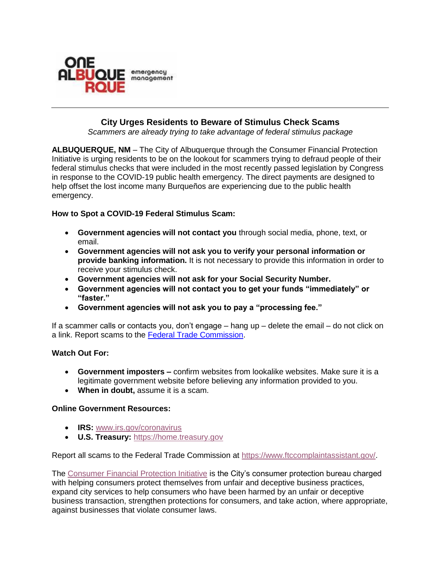

# **City Urges Residents to Beware of Stimulus Check Scams**

*Scammers are already trying to take advantage of federal stimulus package*

**ALBUQUERQUE, NM** – The City of Albuquerque through the Consumer Financial Protection Initiative is urging residents to be on the lookout for scammers trying to defraud people of their federal stimulus checks that were included in the most recently passed legislation by Congress in response to the COVID-19 public health emergency. The direct payments are designed to help offset the lost income many Burqueños are experiencing due to the public health emergency.

## **How to Spot a COVID-19 Federal Stimulus Scam:**

- **Government agencies will not contact you** through social media, phone, text, or email.
- **Government agencies will not ask you to verify your personal information or provide banking information.** It is not necessary to provide this information in order to receive your stimulus check.
- **Government agencies will not ask for your Social Security Number.**
- **Government agencies will not contact you to get your funds "immediately" or "faster."**
- **Government agencies will not ask you to pay a "processing fee."**

If a scammer calls or contacts you, don't engage – hang up – delete the email – do not click on a link. Report scams to the [Federal Trade Commission.](https://www.ftccomplaintassistant.gov/)

## **Watch Out For:**

- **Government imposters –** confirm websites from lookalike websites. Make sure it is a legitimate government website before believing any information provided to you.
- **When in doubt,** assume it is a scam.

#### **Online Government Resources:**

- **IRS:** [www.irs.gov/coronavirus](http://www.irs.gov/coronavirus)
- **U.S. Treasury:** [https://home.treasury.gov](https://home.treasury.gov/)

Report all scams to the Federal Trade Commission at [https://www.ftccomplaintassistant.gov/.](https://www.ftccomplaintassistant.gov/)

The [Consumer Financial Protection Initiative](https://www.cabq.gov/consumer-financial-protection-initiative) is the City's consumer protection bureau charged with helping consumers protect themselves from unfair and deceptive business practices, expand city services to help consumers who have been harmed by an unfair or deceptive business transaction, strengthen protections for consumers, and take action, where appropriate, against businesses that violate consumer laws.